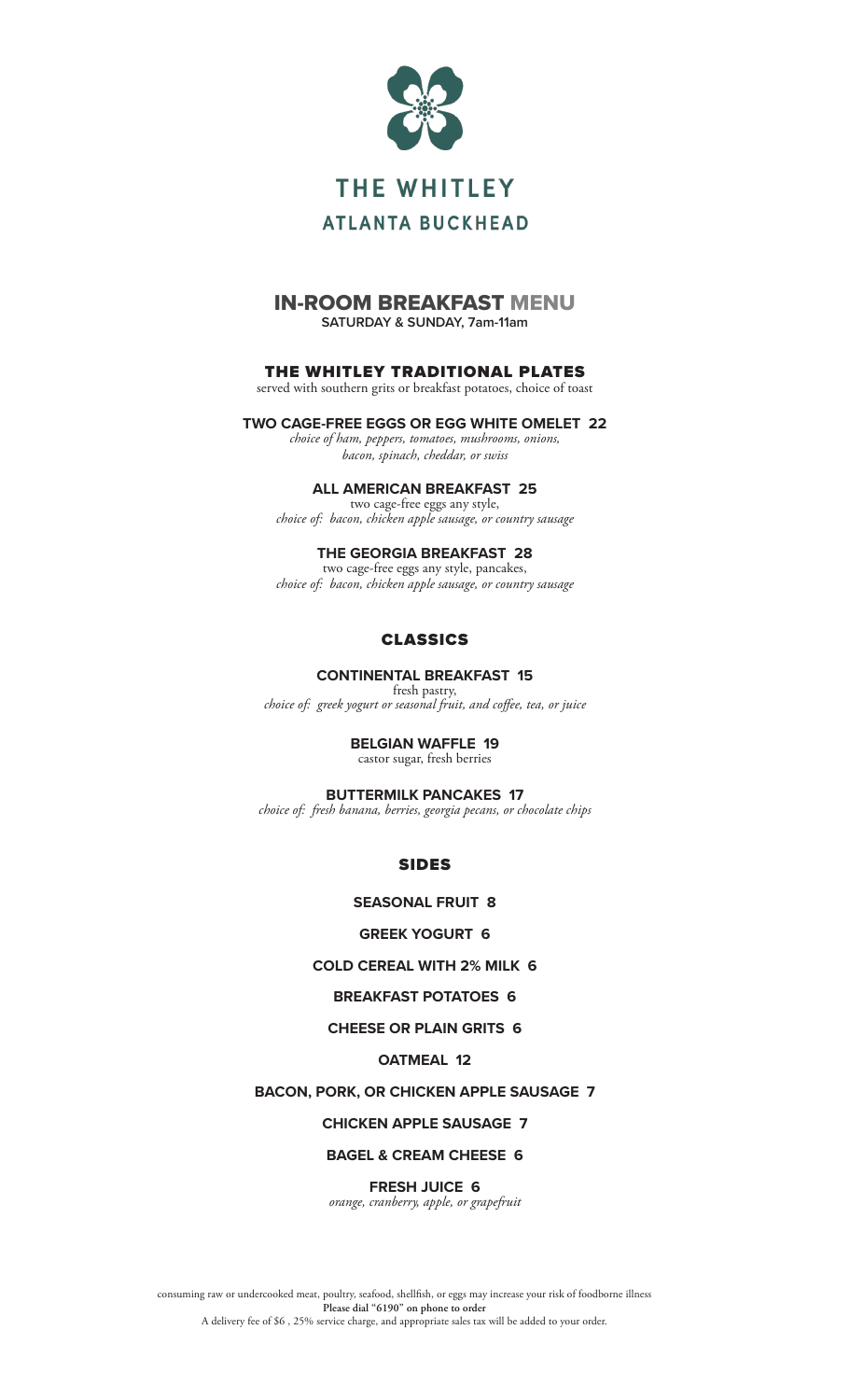

## IN-ROOM BREAKFAST MENU **SATURDAY & SUNDAY, 7am-11am**

## THE WHITLEY TRADITIONAL PLATES

served with southern grits or breakfast potatoes, choice of toast

**TWO CAGE-FREE EGGS OR EGG WHITE OMELET 22** *choice of ham, peppers, tomatoes, mushrooms, onions,* 

*bacon, spinach, cheddar, or swiss*

### **ALL AMERICAN BREAKFAST 25**

two cage-free eggs any style, *choice of: bacon, chicken apple sausage, or country sausage*

### **THE GEORGIA BREAKFAST 28**

two cage-free eggs any style, pancakes, *choice of: bacon, chicken apple sausage, or country sausage*

### CLASSICS

### **CONTINENTAL BREAKFAST 15**

fresh pastry, *choice of: greek yogurt or seasonal fruit, and coffee, tea, or juice*

### **BELGIAN WAFFLE 19**

castor sugar, fresh berries

### **BUTTERMILK PANCAKES 17**

*choice of: fresh banana, berries, georgia pecans, or chocolate chips*

SIDES

### **SEASONAL FRUIT 8**

### **GREEK YOGURT 6**

### **COLD CEREAL WITH 2% MILK 6**

### **BREAKFAST POTATOES 6**

### **CHEESE OR PLAIN GRITS 6**

### **OATMEAL 12**

### **BACON, PORK, OR CHICKEN APPLE SAUSAGE 7**

### **CHICKEN APPLE SAUSAGE 7**

### **BAGEL & CREAM CHEESE 6**

**FRESH JUICE 6** *orange, cranberry, apple, or grapefruit*

consuming raw or undercooked meat, poultry, seafood, shellfish, or eggs may increase your risk of foodborne illness **Please dial "6190" on phone to order** A delivery fee of \$6 , 25% service charge, and appropriate sales tax will be added to your order.